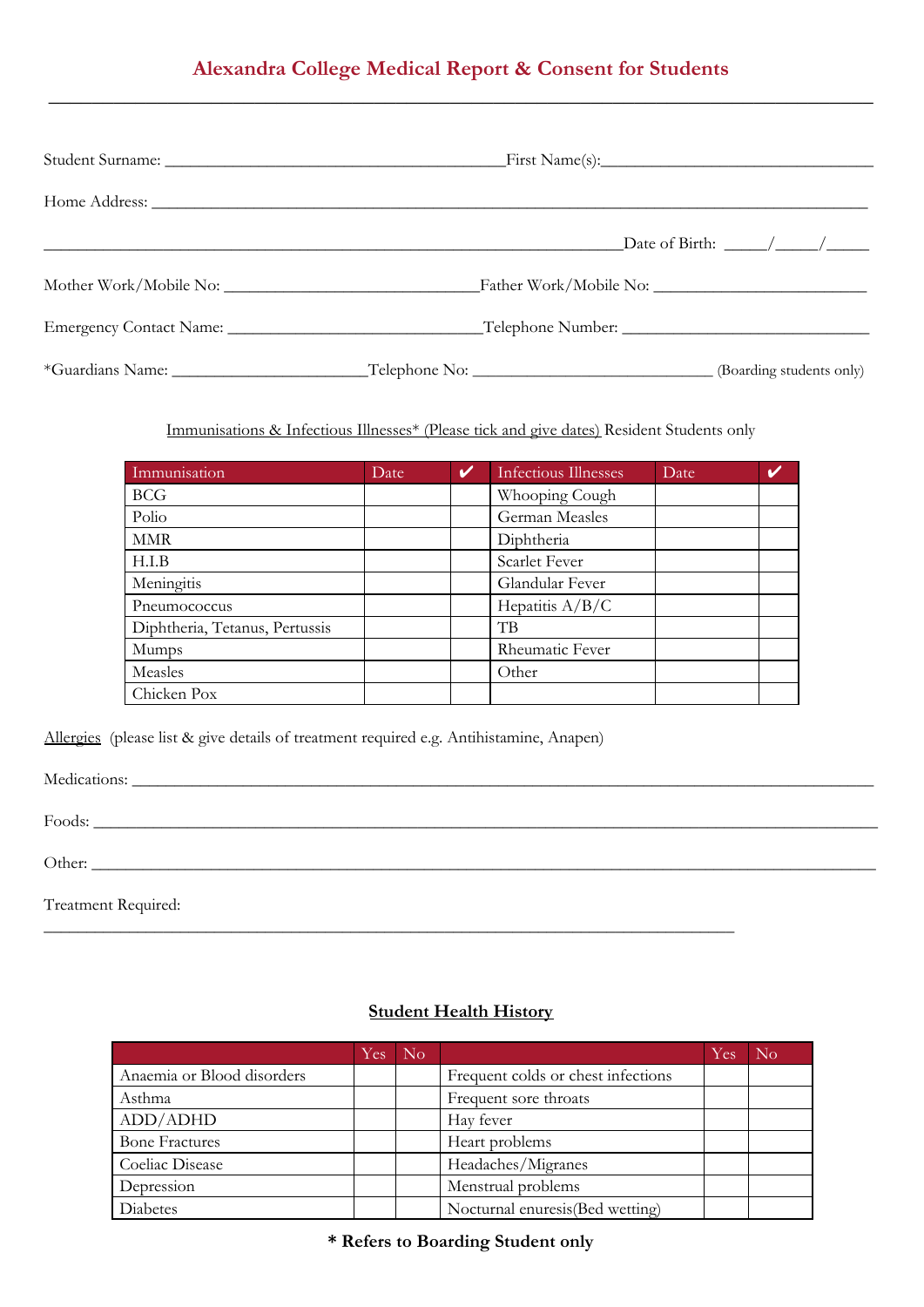## **Alexandra College Medical Report & Consent for Students \_\_\_\_\_\_\_\_\_\_\_\_\_\_\_\_\_\_\_\_\_\_\_\_\_\_\_\_\_\_\_\_\_\_\_\_\_\_\_\_\_\_\_\_\_\_\_\_\_\_\_\_\_\_\_\_\_\_\_\_\_\_\_\_\_\_\_\_\_\_\_\_\_\_\_\_**

|  | Date of Birth: $\frac{\sqrt{2}}{2}$ |
|--|-------------------------------------|
|  |                                     |
|  |                                     |
|  |                                     |

Immunisations & Infectious Illnesses\* (Please tick and give dates) Resident Students only

| Immunisation                   | Date | V | Infectious Illnesses | <b>Date</b> |  |
|--------------------------------|------|---|----------------------|-------------|--|
| <b>BCG</b>                     |      |   | Whooping Cough       |             |  |
| Polio                          |      |   | German Measles       |             |  |
| <b>MMR</b>                     |      |   | Diphtheria           |             |  |
| H.I.B                          |      |   | Scarlet Fever        |             |  |
| Meningitis                     |      |   | Glandular Fever      |             |  |
| Pneumococcus                   |      |   | Hepatitis $A/B/C$    |             |  |
| Diphtheria, Tetanus, Pertussis |      |   | TВ                   |             |  |
| Mumps                          |      |   | Rheumatic Fever      |             |  |
| Measles                        |      |   | Other                |             |  |
| Chicken Pox                    |      |   |                      |             |  |

Allergies (please list & give details of treatment required e.g. Antihistamine, Anapen)

Medications: \_\_\_\_\_\_\_\_\_\_\_\_\_\_\_\_\_\_\_\_\_\_\_\_\_\_\_\_\_\_\_\_\_\_\_\_\_\_\_\_\_\_\_\_\_\_\_\_\_\_\_\_\_\_\_\_\_\_\_\_\_\_\_\_\_\_\_\_\_\_\_\_\_\_\_\_\_\_\_\_\_\_\_\_\_\_\_

Foods: \_\_\_\_\_\_\_\_\_\_\_\_\_\_\_\_\_\_\_\_\_\_\_\_\_\_\_\_\_\_\_\_\_\_\_\_\_\_\_\_\_\_\_\_\_\_\_\_\_\_\_\_\_\_\_\_\_\_\_\_\_\_\_\_\_\_\_\_\_\_\_\_\_\_\_\_\_\_\_\_\_\_\_\_\_\_\_\_\_\_\_\_

Other: \_\_\_\_\_\_\_\_\_\_\_\_\_\_\_\_\_\_\_\_\_\_\_\_\_\_\_\_\_\_\_\_\_\_\_\_\_\_\_\_\_\_\_\_\_\_\_\_\_\_\_\_\_\_\_\_\_\_\_\_\_\_\_\_\_\_\_\_\_\_\_\_\_\_\_\_\_\_\_\_\_\_\_\_\_\_\_\_\_\_\_\_

Treatment Required:

### **Student Health History**

\_\_\_\_\_\_\_\_\_\_\_\_\_\_\_\_\_\_\_\_\_\_\_\_\_\_\_\_\_\_\_\_\_\_\_\_\_\_\_\_\_\_\_\_\_\_\_\_\_\_\_\_\_\_\_\_\_\_\_\_\_\_\_\_\_\_\_\_\_\_\_\_\_\_\_\_\_\_\_\_\_

|                            | Yes | N <sub>o</sub> |                                    | Yes. | $\rm No$ |
|----------------------------|-----|----------------|------------------------------------|------|----------|
| Anaemia or Blood disorders |     |                | Frequent colds or chest infections |      |          |
| Asthma                     |     |                | Frequent sore throats              |      |          |
| ADD/ADHD                   |     |                | Hay fever                          |      |          |
| <b>Bone Fractures</b>      |     |                | Heart problems                     |      |          |
| Coeliac Disease            |     |                | Headaches/Migranes                 |      |          |
| Depression                 |     |                | Menstrual problems                 |      |          |
| Diabetes                   |     |                | Nocturnal enuresis (Bed wetting)   |      |          |

**\* Refers to Boarding Student only**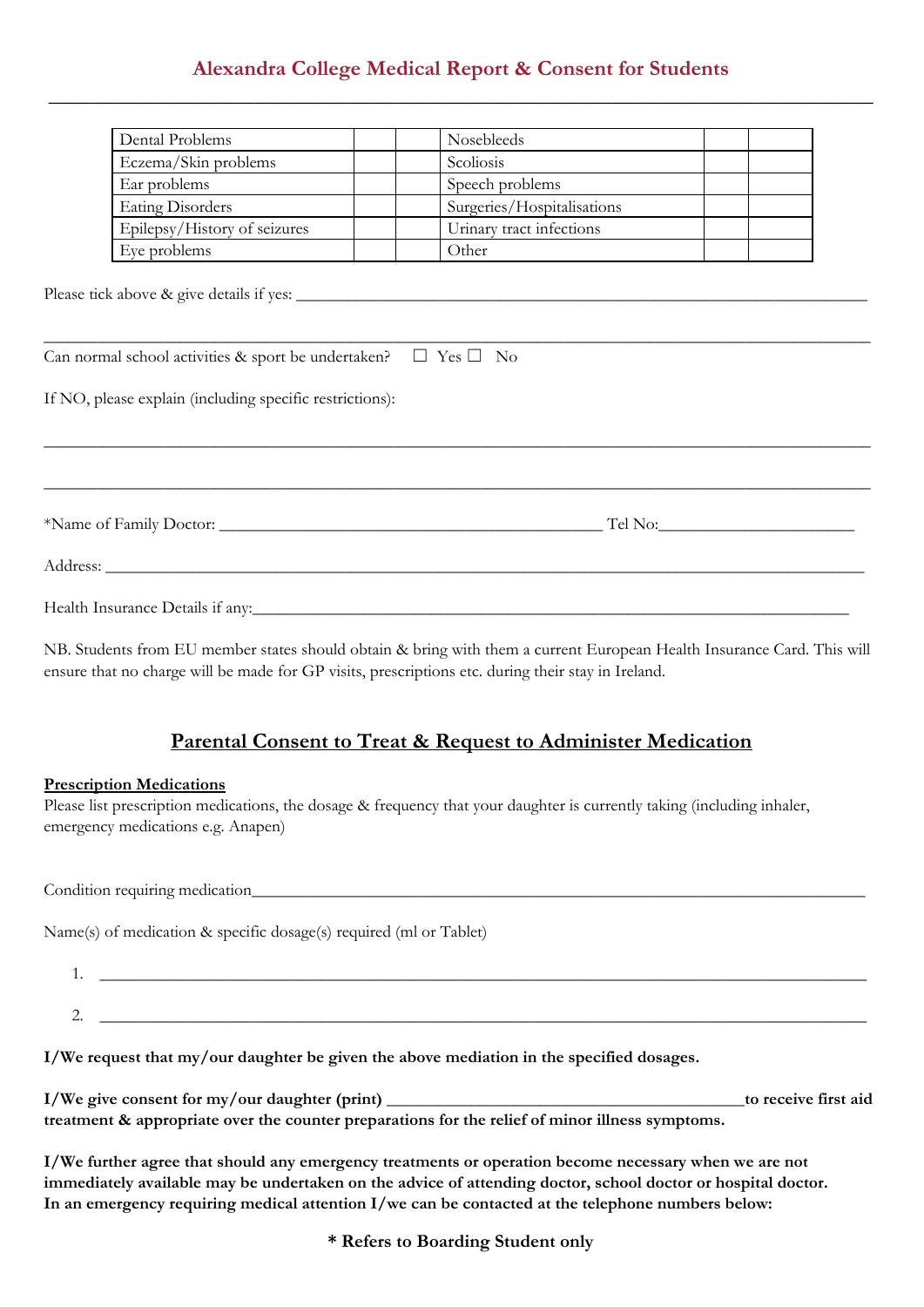# **Alexandra College Medical Report & Consent for Students \_\_\_\_\_\_\_\_\_\_\_\_\_\_\_\_\_\_\_\_\_\_\_\_\_\_\_\_\_\_\_\_\_\_\_\_\_\_\_\_\_\_\_\_\_\_\_\_\_\_\_\_\_\_\_\_\_\_\_\_\_\_\_\_\_\_\_\_\_\_\_\_\_\_\_\_**

| Dental Problems                                                                                                                                                                                                                      | Nosebleeds                                             |  |  |  |
|--------------------------------------------------------------------------------------------------------------------------------------------------------------------------------------------------------------------------------------|--------------------------------------------------------|--|--|--|
| Eczema/Skin problems                                                                                                                                                                                                                 | Scoliosis                                              |  |  |  |
| Ear problems                                                                                                                                                                                                                         | Speech problems                                        |  |  |  |
| <b>Eating Disorders</b>                                                                                                                                                                                                              | Surgeries/Hospitalisations<br>Urinary tract infections |  |  |  |
| Epilepsy/History of seizures                                                                                                                                                                                                         |                                                        |  |  |  |
| Eye problems                                                                                                                                                                                                                         | Other                                                  |  |  |  |
| Can normal school activities & sport be undertaken? $\Box$ Yes $\Box$ No                                                                                                                                                             |                                                        |  |  |  |
| If NO, please explain (including specific restrictions):                                                                                                                                                                             |                                                        |  |  |  |
|                                                                                                                                                                                                                                      |                                                        |  |  |  |
| Address: <u>Address</u> : Address: Address: Address: Address: Address: Address: Address: Address: Address: Address: Address: Address: Address: Address: Address: Address: Address: Address: Address: Address: Address: Address: Addr |                                                        |  |  |  |
| Health Insurance Details if any:                                                                                                                                                                                                     |                                                        |  |  |  |

NB. Students from EU member states should obtain & bring with them a current European Health Insurance Card. This will ensure that no charge will be made for GP visits, prescriptions etc. during their stay in Ireland.

## **Parental Consent to Treat & Request to Administer Medication**

#### **Prescription Medications**

Please list prescription medications, the dosage & frequency that your daughter is currently taking (including inhaler, emergency medications e.g. Anapen)

Condition requiring medication\_\_\_\_\_\_\_\_\_\_\_\_\_\_\_\_\_\_\_\_\_\_\_\_\_\_\_\_\_\_\_\_\_\_\_\_\_\_\_\_\_\_\_\_\_\_\_\_\_\_\_\_\_\_\_\_\_\_\_\_\_\_\_\_\_\_\_\_\_\_\_\_

Name(s) of medication & specific dosage(s) required (ml or Tablet)

| . .        |  |
|------------|--|
|            |  |
|            |  |
| <u>. .</u> |  |

**I/We request that my/our daughter be given the above mediation in the specified dosages.**

| I/We give consent for my/our daughter (print)                                                   | to receive first aid |
|-------------------------------------------------------------------------------------------------|----------------------|
| treatment & appropriate over the counter preparations for the relief of minor illness symptoms. |                      |

**I/We further agree that should any emergency treatments or operation become necessary when we are not immediately available may be undertaken on the advice of attending doctor, school doctor or hospital doctor. In an emergency requiring medical attention I/we can be contacted at the telephone numbers below:**

**\* Refers to Boarding Student only**